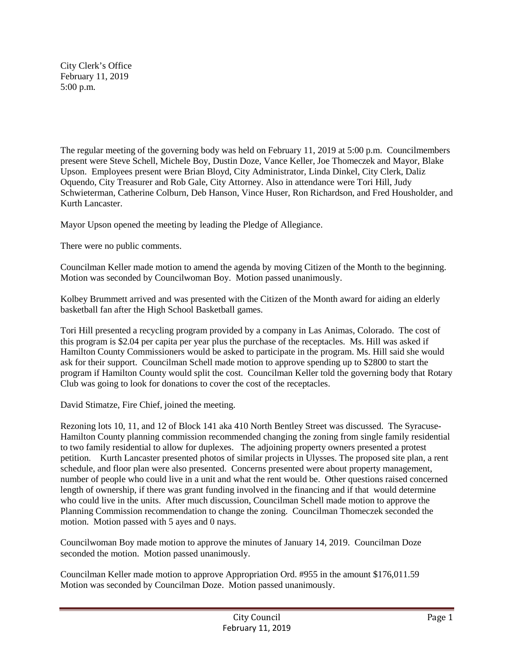City Clerk's Office February 11, 2019 5:00 p.m.

The regular meeting of the governing body was held on February 11, 2019 at 5:00 p.m. Councilmembers present were Steve Schell, Michele Boy, Dustin Doze, Vance Keller, Joe Thomeczek and Mayor, Blake Upson. Employees present were Brian Bloyd, City Administrator, Linda Dinkel, City Clerk, Daliz Oquendo, City Treasurer and Rob Gale, City Attorney. Also in attendance were Tori Hill, Judy Schwieterman, Catherine Colburn, Deb Hanson, Vince Huser, Ron Richardson, and Fred Housholder, and Kurth Lancaster.

Mayor Upson opened the meeting by leading the Pledge of Allegiance.

There were no public comments.

Councilman Keller made motion to amend the agenda by moving Citizen of the Month to the beginning. Motion was seconded by Councilwoman Boy. Motion passed unanimously.

Kolbey Brummett arrived and was presented with the Citizen of the Month award for aiding an elderly basketball fan after the High School Basketball games.

Tori Hill presented a recycling program provided by a company in Las Animas, Colorado. The cost of this program is \$2.04 per capita per year plus the purchase of the receptacles. Ms. Hill was asked if Hamilton County Commissioners would be asked to participate in the program. Ms. Hill said she would ask for their support. Councilman Schell made motion to approve spending up to \$2800 to start the program if Hamilton County would split the cost. Councilman Keller told the governing body that Rotary Club was going to look for donations to cover the cost of the receptacles.

David Stimatze, Fire Chief, joined the meeting.

Rezoning lots 10, 11, and 12 of Block 141 aka 410 North Bentley Street was discussed. The Syracuse-Hamilton County planning commission recommended changing the zoning from single family residential to two family residential to allow for duplexes. The adjoining property owners presented a protest petition. Kurth Lancaster presented photos of similar projects in Ulysses. The proposed site plan, a rent schedule, and floor plan were also presented. Concerns presented were about property management, number of people who could live in a unit and what the rent would be. Other questions raised concerned length of ownership, if there was grant funding involved in the financing and if that would determine who could live in the units. After much discussion, Councilman Schell made motion to approve the Planning Commission recommendation to change the zoning. Councilman Thomeczek seconded the motion. Motion passed with 5 ayes and 0 nays.

Councilwoman Boy made motion to approve the minutes of January 14, 2019. Councilman Doze seconded the motion. Motion passed unanimously.

Councilman Keller made motion to approve Appropriation Ord. #955 in the amount \$176,011.59 Motion was seconded by Councilman Doze. Motion passed unanimously.